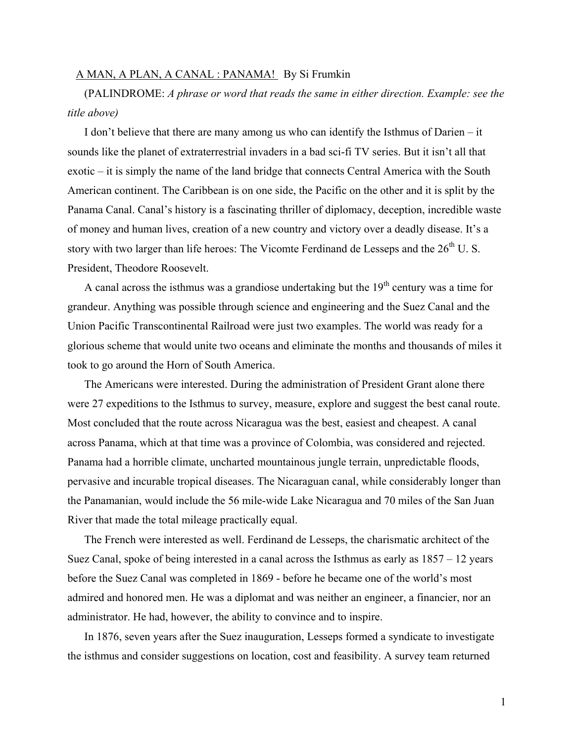## A MAN, A PLAN, A CANAL : PANAMA! By Si Frumkin

(PALINDROME: *A phrase or word that reads the same in either direction. Example: see the title above)*

I don't believe that there are many among us who can identify the Isthmus of Darien – it sounds like the planet of extraterrestrial invaders in a bad sci-fi TV series. But it isn't all that exotic – it is simply the name of the land bridge that connects Central America with the South American continent. The Caribbean is on one side, the Pacific on the other and it is split by the Panama Canal. Canal's history is a fascinating thriller of diplomacy, deception, incredible waste of money and human lives, creation of a new country and victory over a deadly disease. It's a story with two larger than life heroes: The Vicomte Ferdinand de Lesseps and the 26<sup>th</sup> U.S. President, Theodore Roosevelt.

A canal across the isthmus was a grandiose undertaking but the  $19<sup>th</sup>$  century was a time for grandeur. Anything was possible through science and engineering and the Suez Canal and the Union Pacific Transcontinental Railroad were just two examples. The world was ready for a glorious scheme that would unite two oceans and eliminate the months and thousands of miles it took to go around the Horn of South America.

The Americans were interested. During the administration of President Grant alone there were 27 expeditions to the Isthmus to survey, measure, explore and suggest the best canal route. Most concluded that the route across Nicaragua was the best, easiest and cheapest. A canal across Panama, which at that time was a province of Colombia, was considered and rejected. Panama had a horrible climate, uncharted mountainous jungle terrain, unpredictable floods, pervasive and incurable tropical diseases. The Nicaraguan canal, while considerably longer than the Panamanian, would include the 56 mile-wide Lake Nicaragua and 70 miles of the San Juan River that made the total mileage practically equal.

The French were interested as well. Ferdinand de Lesseps, the charismatic architect of the Suez Canal, spoke of being interested in a canal across the Isthmus as early as  $1857 - 12$  years before the Suez Canal was completed in 1869 - before he became one of the world's most admired and honored men. He was a diplomat and was neither an engineer, a financier, nor an administrator. He had, however, the ability to convince and to inspire.

In 1876, seven years after the Suez inauguration, Lesseps formed a syndicate to investigate the isthmus and consider suggestions on location, cost and feasibility. A survey team returned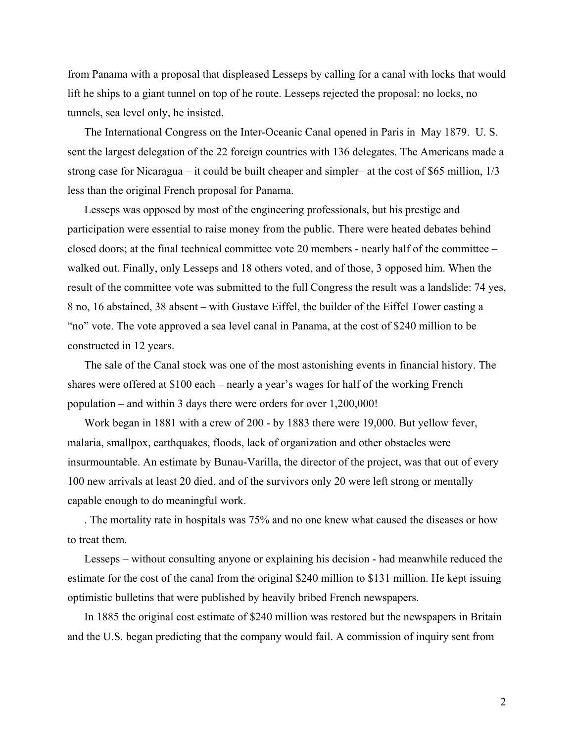from Panama with a proposal that displeased Lesseps by calling for a canal with locks that would lift he ships to a giant tunnel on top of he route. Lesseps rejected the proposal: no locks, no tunnels, sea level only, he insisted.

The International Congress on the Inter-Oceanic Canal opened in Paris in May 1879. U. S. sent the largest delegation of the 22 foreign countries with 136 delegates. The Americans made a strong case for Nicaragua – it could be built cheaper and simpler– at the cost of \$65 million, 1/3 less than the original French proposal for Panama.

Lesseps was opposed by most of the engineering professionals, but his prestige and participation were essential to raise money from the public. There were heated debates behind closed doors; at the final technical committee vote 20 members - nearly half of the committee – walked out. Finally, only Lesseps and 18 others voted, and of those, 3 opposed him. When the result of the committee vote was submitted to the full Congress the result was a landslide: 74 yes, 8 no, 16 abstained, 38 absent – with Gustave Eiffel, the builder of the Eiffel Tower casting a "no" vote. The vote approved a sea level canal in Panama, at the cost of \$240 million to be constructed in 12 years.

The sale of the Canal stock was one of the most astonishing events in financial history. The shares were offered at \$100 each – nearly a year's wages for half of the working French population – and within 3 days there were orders for over 1,200,000!

Work began in 1881 with a crew of 200 - by 1883 there were 19,000. But yellow fever, malaria, smallpox, earthquakes, floods, lack of organization and other obstacles were insurmountable. An estimate by Bunau-Varilla, the director of the project, was that out of every 100 new arrivals at least 20 died, and of the survivors only 20 were left strong or mentally capable enough to do meaningful work.

. The mortality rate in hospitals was 75% and no one knew what caused the diseases or how to treat them.

Lesseps – without consulting anyone or explaining his decision - had meanwhile reduced the estimate for the cost of the canal from the original \$240 million to \$131 million. He kept issuing optimistic bulletins that were published by heavily bribed French newspapers.

In 1885 the original cost estimate of \$240 million was restored but the newspapers in Britain and the U.S. began predicting that the company would fail. A commission of inquiry sent from